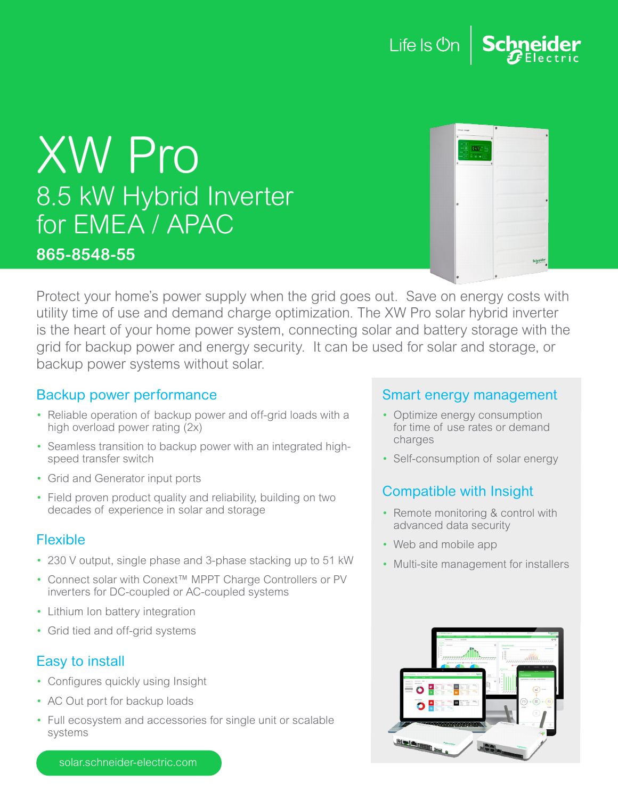

# XW Pro 8.5 kW Hybrid Inverter for EMEA / APAC

#### **865-8548-55**

| Coneys congge            | $\overline{a}$ |
|--------------------------|----------------|
| ×<br>٠                   |                |
| ls y                     |                |
| ö                        |                |
| $\mathbf{c}$<br>$\theta$ |                |
|                          |                |
|                          |                |
| œ                        |                |
|                          |                |
|                          |                |
|                          |                |
|                          |                |
|                          |                |
|                          | eider          |
|                          |                |

Protect your home's power supply when the grid goes out. Save on energy costs with utility time of use and demand charge optimization. The XW Pro solar hybrid inverter is the heart of your home power system, connecting solar and battery storage with the grid for backup power and energy security. It can be used for solar and storage, or backup power systems without solar.

#### Backup power performance

- Reliable operation of backup power and off-grid loads with a high overload power rating (2x)
- Seamless transition to backup power with an integrated highspeed transfer switch
- Grid and Generator input ports
- Field proven product quality and reliability, building on two decades of experience in solar and storage

#### Flexible

- 230 V output, single phase and 3-phase stacking up to 51 kW
- Connect solar with Conext™ MPPT Charge Controllers or PV inverters for DC-coupled or AC-coupled systems
- Lithium Ion battery integration
- Grid tied and off-grid systems

## Easy to install

- Configures quickly using Insight
- AC Out port for backup loads
- Full ecosystem and accessories for single unit or scalable systems

#### Smart energy management

- Optimize energy consumption for time of use rates or demand charges
- Self-consumption of solar energy

## Compatible with Insight

- Remote monitoring & control with advanced data security
- Web and mobile app
- Multi-site management for installers



solar.schneider-electric.com